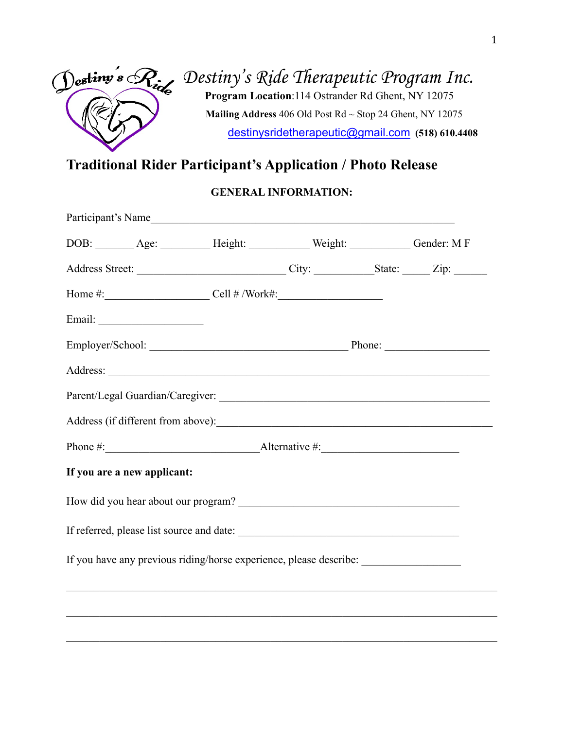

# *Destiny's Ride Therapeutic Program Inc.*  **Program Location**:114 Ostrander Rd Ghent, NY 12075  **Mailing Address** 406 Old Post Rd ~ Stop 24 Ghent, NY 12075 [destinysridetherapeutic@gmail.com](mailto:destinysridetherapeutic@gmail.com) **(518) 610.4408**

## **Traditional Rider Participant's Application / Photo Release**

#### **GENERAL INFORMATION:**

|                             |  | Participant's Name                                                               |  |  |  |
|-----------------------------|--|----------------------------------------------------------------------------------|--|--|--|
|                             |  | DOB: _______ Age: _________ Height: __________ Weight: __________ Gender: M F    |  |  |  |
|                             |  |                                                                                  |  |  |  |
|                             |  | Home #: $\qquad \qquad \text{Cell } # / \text{Work#:}$                           |  |  |  |
|                             |  |                                                                                  |  |  |  |
|                             |  |                                                                                  |  |  |  |
|                             |  |                                                                                  |  |  |  |
|                             |  |                                                                                  |  |  |  |
|                             |  |                                                                                  |  |  |  |
|                             |  |                                                                                  |  |  |  |
| If you are a new applicant: |  |                                                                                  |  |  |  |
|                             |  |                                                                                  |  |  |  |
|                             |  |                                                                                  |  |  |  |
|                             |  | If you have any previous riding/horse experience, please describe: _____________ |  |  |  |
|                             |  |                                                                                  |  |  |  |
|                             |  |                                                                                  |  |  |  |
|                             |  |                                                                                  |  |  |  |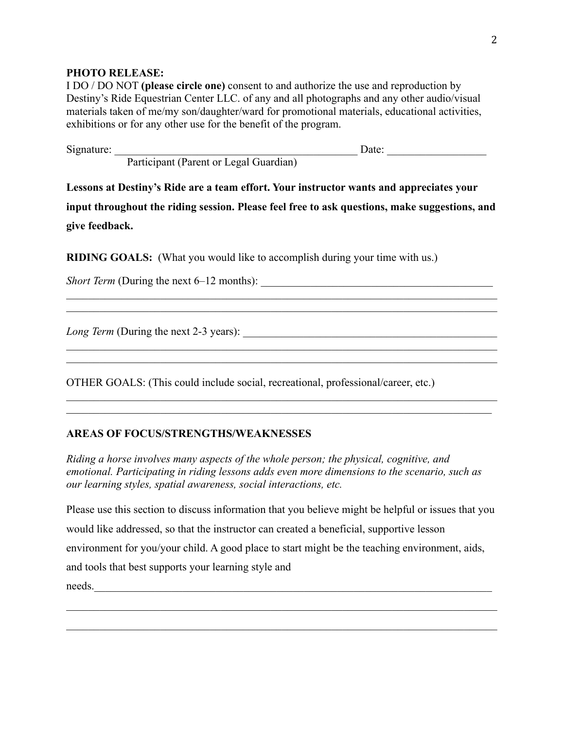#### **PHOTO RELEASE:**

I DO / DO NOT **(please circle one)** consent to and authorize the use and reproduction by Destiny's Ride Equestrian Center LLC. of any and all photographs and any other audio/visual materials taken of me/my son/daughter/ward for promotional materials, educational activities, exhibitions or for any other use for the benefit of the program.

| Signature: |                                        | Date: |  |
|------------|----------------------------------------|-------|--|
|            | Participant (Parent or Legal Guardian) |       |  |

**Lessons at Destiny's Ride are a team effort. Your instructor wants and appreciates your input throughout the riding session. Please feel free to ask questions, make suggestions, and give feedback.** 

\_\_\_\_\_\_\_\_\_\_\_\_\_\_\_\_\_\_\_\_\_\_\_\_\_\_\_\_\_\_\_\_\_\_\_\_\_\_\_\_\_\_\_\_\_\_\_\_\_*\_\_\_\_\_\_\_\_\_\_\_\_\_\_\_\_\_\_\_\_\_\_\_\_\_\_\_\_\_*

\_\_\_\_\_\_\_\_\_\_\_\_\_\_\_\_\_\_\_\_\_\_\_\_\_\_\_\_\_\_\_\_\_\_\_\_\_\_\_\_\_\_\_\_\_\_\_\_\_\_\_\_\_\_\_\_\_\_\_\_\_\_\_\_\_\_\_\_\_\_\_\_\_\_\_\_\_\_

\_\_\_\_\_\_\_\_\_\_\_\_\_\_\_\_\_\_\_\_\_\_\_\_\_\_\_\_\_\_\_\_\_\_\_\_\_\_\_\_\_\_\_\_\_\_\_\_\_\_\_\_\_\_\_\_\_\_\_\_\_\_\_\_\_\_\_\_\_\_\_\_\_\_\_\_\_\_ \_\_\_\_\_\_\_\_\_\_\_\_\_\_\_\_\_\_\_\_\_\_\_\_\_\_\_\_\_\_\_\_\_\_\_\_\_\_\_\_\_\_\_\_\_\_\_\_\_\_\_\_\_\_\_\_\_\_\_\_\_\_\_\_\_\_\_\_\_\_\_\_\_\_\_\_\_

**RIDING GOALS:** (What you would like to accomplish during your time with us.)

*Short Term* (During the next 6–12 months):

*Long Term* (During the next 2-3 years): \_\_\_\_\_\_\_\_\_\_\_\_\_\_\_\_\_\_\_\_\_\_\_\_\_\_\_\_\_\_\_\_\_\_\_\_\_\_\_\_\_\_\_\_\_\_

OTHER GOALS: (This could include social, recreational, professional/career, etc.)

#### **AREAS OF FOCUS/STRENGTHS/WEAKNESSES**

*Riding a horse involves many aspects of the whole person; the physical, cognitive, and emotional. Participating in riding lessons adds even more dimensions to the scenario, such as our learning styles, spatial awareness, social interactions, etc.* 

\_\_\_\_\_\_\_\_\_\_\_\_\_\_\_\_\_\_\_\_\_\_\_\_\_\_\_\_\_\_\_\_\_\_\_\_\_\_\_\_\_\_\_\_\_\_\_\_\_\_\_\_\_\_\_\_\_\_\_\_\_\_\_\_\_\_\_\_\_\_\_\_\_\_\_\_\_\_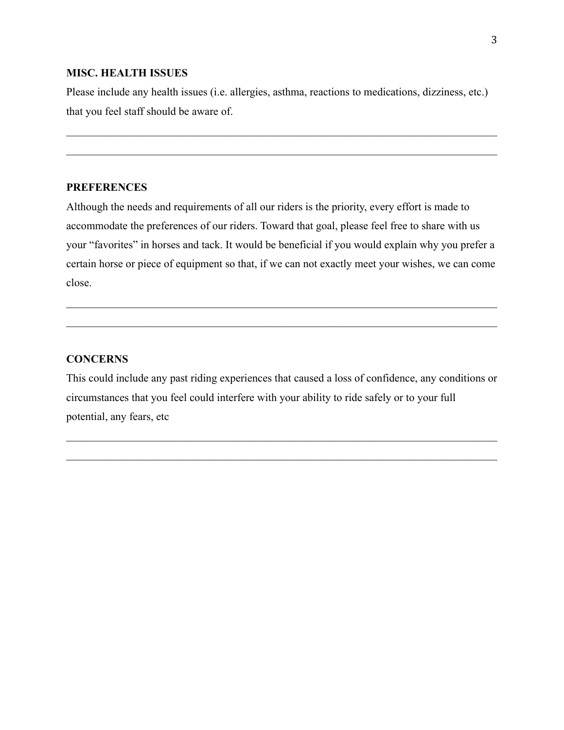#### **MISC. HEALTH ISSUES**

Please include any health issues (i.e. allergies, asthma, reactions to medications, dizziness, etc.) that you feel staff should be aware of.

\_\_\_\_\_\_\_\_\_\_\_\_\_\_\_\_\_\_\_\_\_\_\_\_\_\_\_\_\_\_\_\_\_\_\_\_\_\_\_\_\_\_\_\_\_\_\_\_\_\_\_\_\_\_\_\_\_\_\_\_\_\_\_\_\_\_\_\_\_\_\_\_\_\_\_\_\_\_

#### **PREFERENCES**

Although the needs and requirements of all our riders is the priority, every effort is made to accommodate the preferences of our riders. Toward that goal, please feel free to share with us your "favorites" in horses and tack. It would be beneficial if you would explain why you prefer a certain horse or piece of equipment so that, if we can not exactly meet your wishes, we can come close.

\_\_\_\_\_\_\_\_\_\_\_\_\_\_\_\_\_\_\_\_\_\_\_\_\_\_\_\_\_\_\_\_\_\_\_\_\_\_\_\_\_\_\_\_\_\_\_\_\_\_\_\_\_\_\_\_\_\_\_\_\_\_\_\_\_\_\_\_\_\_\_\_\_\_\_\_\_\_

#### **CONCERNS**

This could include any past riding experiences that caused a loss of confidence, any conditions or circumstances that you feel could interfere with your ability to ride safely or to your full potential, any fears, etc

 $\_$  , and the set of the set of the set of the set of the set of the set of the set of the set of the set of the set of the set of the set of the set of the set of the set of the set of the set of the set of the set of th

\_\_\_\_\_\_\_\_\_\_\_\_\_\_\_\_\_\_\_\_\_\_\_\_\_\_\_\_\_\_\_\_\_\_\_\_\_\_\_\_\_\_\_\_\_\_\_\_\_\_\_\_\_\_\_\_\_\_\_\_\_\_\_\_\_\_\_\_\_\_\_\_\_\_\_\_\_\_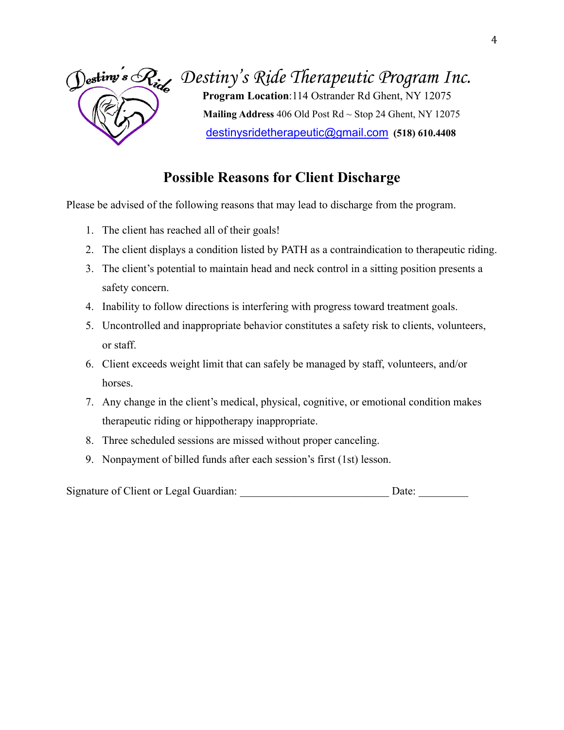

# *Destiny's Ride Therapeutic Program Inc.*

 **Program Location**:114 Ostrander Rd Ghent, NY 12075  **Mailing Address** 406 Old Post Rd ~ Stop 24 Ghent, NY 12075 [destinysridetherapeutic@gmail.com](mailto:destinysridetherapeutic@gmail.com) **(518) 610.4408**

## **Possible Reasons for Client Discharge**

Please be advised of the following reasons that may lead to discharge from the program.

- 1. The client has reached all of their goals!
- 2. The client displays a condition listed by PATH as a contraindication to therapeutic riding.
- 3. The client's potential to maintain head and neck control in a sitting position presents a safety concern.
- 4. Inability to follow directions is interfering with progress toward treatment goals.
- 5. Uncontrolled and inappropriate behavior constitutes a safety risk to clients, volunteers, or staff.
- 6. Client exceeds weight limit that can safely be managed by staff, volunteers, and/or horses.
- 7. Any change in the client's medical, physical, cognitive, or emotional condition makes therapeutic riding or hippotherapy inappropriate.
- 8. Three scheduled sessions are missed without proper canceling.
- 9. Nonpayment of billed funds after each session's first (1st) lesson.

Signature of Client or Legal Guardian:  $\Box$  Date:  $\Box$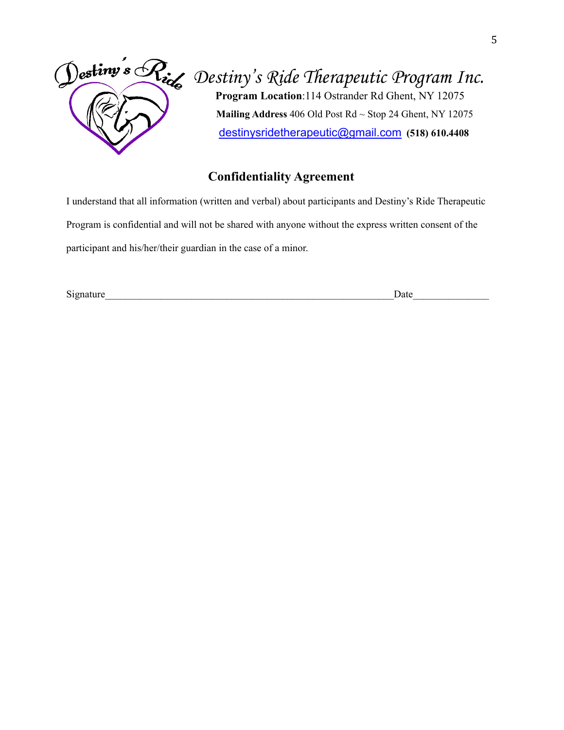

# *Destiny's Ride Therapeutic Program Inc.*  **Program Location**:114 Ostrander Rd Ghent, NY 12075

 **Mailing Address** 406 Old Post Rd ~ Stop 24 Ghent, NY 12075 [destinysridetherapeutic@gmail.com](mailto:destinysridetherapeutic@gmail.com) **(518) 610.4408**

### **Confidentiality Agreement**

I understand that all information (written and verbal) about participants and Destiny's Ride Therapeutic Program is confidential and will not be shared with anyone without the express written consent of the participant and his/her/their guardian in the case of a minor.

Signature\_\_\_\_\_\_\_\_\_\_\_\_\_\_\_\_\_\_\_\_\_\_\_\_\_\_\_\_\_\_\_\_\_\_\_\_\_\_\_\_\_\_\_\_\_\_\_\_\_\_\_\_\_\_\_\_\_Date\_\_\_\_\_\_\_\_\_\_\_\_\_\_\_